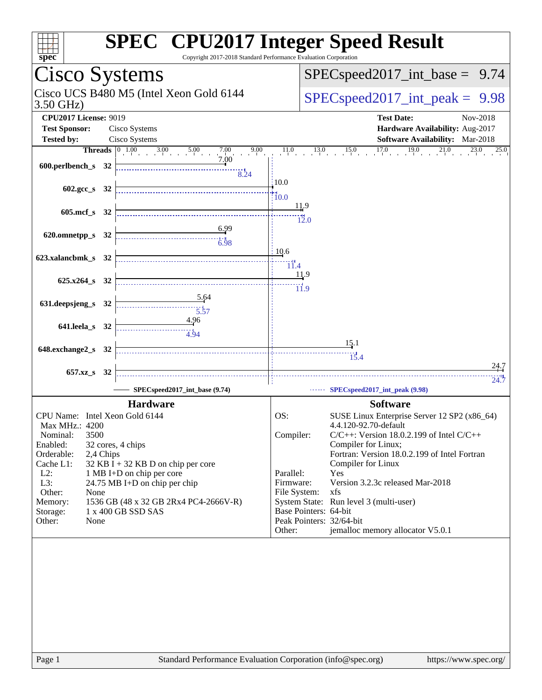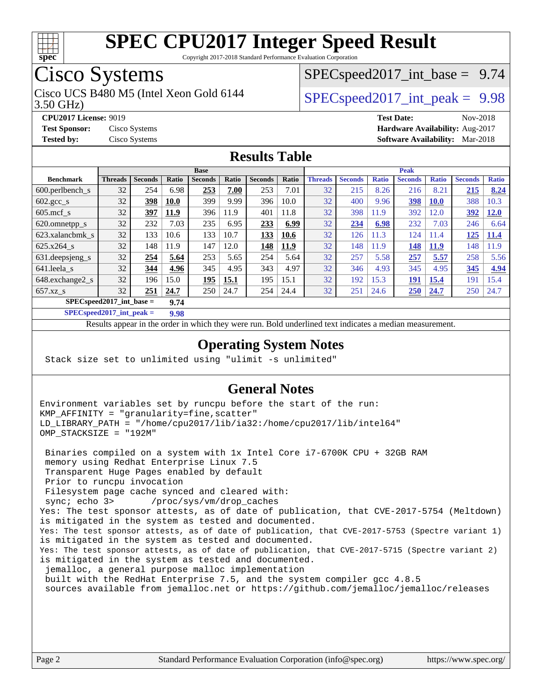

Copyright 2017-2018 Standard Performance Evaluation Corporation

## Cisco Systems

3.50 GHz) Cisco UCS B480 M5 (Intel Xeon Gold 6144  $\vert$  [SPECspeed2017\\_int\\_peak =](http://www.spec.org/auto/cpu2017/Docs/result-fields.html#SPECspeed2017intpeak) 9.98

 $SPECspeed2017\_int\_base = 9.74$ 

**[CPU2017 License:](http://www.spec.org/auto/cpu2017/Docs/result-fields.html#CPU2017License)** 9019 **[Test Date:](http://www.spec.org/auto/cpu2017/Docs/result-fields.html#TestDate)** Nov-2018 **[Test Sponsor:](http://www.spec.org/auto/cpu2017/Docs/result-fields.html#TestSponsor)** Cisco Systems **[Hardware Availability:](http://www.spec.org/auto/cpu2017/Docs/result-fields.html#HardwareAvailability)** Aug-2017 **[Tested by:](http://www.spec.org/auto/cpu2017/Docs/result-fields.html#Testedby)** Cisco Systems **[Software Availability:](http://www.spec.org/auto/cpu2017/Docs/result-fields.html#SoftwareAvailability)** Mar-2018

### **[Results Table](http://www.spec.org/auto/cpu2017/Docs/result-fields.html#ResultsTable)**

|                                    | <b>Base</b>    |                |              |                |       | <b>Peak</b>    |       |                |                |              |                |              |                |              |
|------------------------------------|----------------|----------------|--------------|----------------|-------|----------------|-------|----------------|----------------|--------------|----------------|--------------|----------------|--------------|
| <b>Benchmark</b>                   | <b>Threads</b> | <b>Seconds</b> | <b>Ratio</b> | <b>Seconds</b> | Ratio | <b>Seconds</b> | Ratio | <b>Threads</b> | <b>Seconds</b> | <b>Ratio</b> | <b>Seconds</b> | <b>Ratio</b> | <b>Seconds</b> | <b>Ratio</b> |
| 600.perlbench s                    | 32             | 254            | 6.98         | 253            | 7.00  | 253            | 7.01  | 32             | 215            | 8.26         | 216            | 8.21         | 215            | 8.24         |
| $602.\text{gcc}\s$                 | 32             | 398            | <b>10.0</b>  | 399            | 9.99  | 396            | 10.0  | 32             | 400            | 9.96         | 398            | <b>10.0</b>  | 388            | 10.3         |
| $605$ .mcf s                       | 32             | 397            | 11.9         | 396            | 11.9  | 401            | 11.8  | 32             | 398            | 11.9         | 392            | 2.0          | 392            | <b>12.0</b>  |
| 620.omnetpp_s                      | 32             | 232            | 7.03         | 235            | 6.95  | 233            | 6.99  | 32             | 234            | 6.98         | 232            | 7.03         | 246            | 6.64         |
| 623.xalancbmk s                    | 32             | 133            | 10.6         | 133            | 10.7  | 133            | 10.6  | 32             | 126            | 11.3         | 124            | .1.4         | 125            | 11.4         |
| 625.x264 s                         | 32             | 148            | 11.9         | 147            | 12.0  | 148            | 11.9  | 32             | 148            | 11.9         | 148            | 11.9         | 148            | 1.9          |
| 631.deepsjeng_s                    | 32             | 254            | 5.64         | 253            | 5.65  | 254            | 5.64  | 32             | 257            | 5.58         | 257            | 5.57         | 258            | 5.56         |
| 641.leela s                        | 32             | 344            | 4.96         | 345            | 4.95  | 343            | 4.97  | 32             | 346            | 4.93         | 345            | 4.95         | 345            | 4.94         |
| 648.exchange2_s                    | 32             | 196            | 15.0         | 195            | 15.1  | 195            | 15.1  | 32             | 192            | 15.3         | 191            | 15.4         | 191            | 15.4         |
| $657.xz$ s                         | 32             | 251            | 24.7         | 250            | 24.7  | 254            | 24.4  | 32             | 251            | 24.6         | 250            | 24.7         | 250            | 24.7         |
| $SPECspeed2017$ int base =<br>9.74 |                |                |              |                |       |                |       |                |                |              |                |              |                |              |

**[SPECspeed2017\\_int\\_peak =](http://www.spec.org/auto/cpu2017/Docs/result-fields.html#SPECspeed2017intpeak) 9.98**

Results appear in the [order in which they were run.](http://www.spec.org/auto/cpu2017/Docs/result-fields.html#RunOrder) Bold underlined text [indicates a median measurement](http://www.spec.org/auto/cpu2017/Docs/result-fields.html#Median).

### **[Operating System Notes](http://www.spec.org/auto/cpu2017/Docs/result-fields.html#OperatingSystemNotes)**

Stack size set to unlimited using "ulimit -s unlimited"

### **[General Notes](http://www.spec.org/auto/cpu2017/Docs/result-fields.html#GeneralNotes)**

Environment variables set by runcpu before the start of the run: KMP\_AFFINITY = "granularity=fine,scatter" LD\_LIBRARY\_PATH = "/home/cpu2017/lib/ia32:/home/cpu2017/lib/intel64" OMP\_STACKSIZE = "192M"

 Binaries compiled on a system with 1x Intel Core i7-6700K CPU + 32GB RAM memory using Redhat Enterprise Linux 7.5 Transparent Huge Pages enabled by default Prior to runcpu invocation Filesystem page cache synced and cleared with: sync; echo 3> /proc/sys/vm/drop\_caches Yes: The test sponsor attests, as of date of publication, that CVE-2017-5754 (Meltdown) is mitigated in the system as tested and documented. Yes: The test sponsor attests, as of date of publication, that CVE-2017-5753 (Spectre variant 1) is mitigated in the system as tested and documented. Yes: The test sponsor attests, as of date of publication, that CVE-2017-5715 (Spectre variant 2) is mitigated in the system as tested and documented. jemalloc, a general purpose malloc implementation built with the RedHat Enterprise 7.5, and the system compiler gcc 4.8.5 sources available from jemalloc.net or<https://github.com/jemalloc/jemalloc/releases>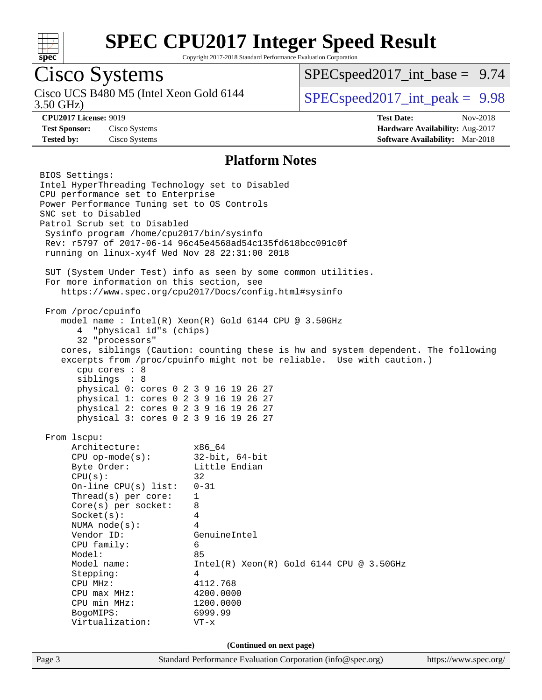

Copyright 2017-2018 Standard Performance Evaluation Corporation

## Cisco Systems

3.50 GHz) Cisco UCS B480 M5 (Intel Xeon Gold 6144  $\vert$  [SPECspeed2017\\_int\\_peak =](http://www.spec.org/auto/cpu2017/Docs/result-fields.html#SPECspeed2017intpeak) 9.98

 $SPECspeed2017\_int\_base = 9.74$ 

**[CPU2017 License:](http://www.spec.org/auto/cpu2017/Docs/result-fields.html#CPU2017License)** 9019 **[Test Date:](http://www.spec.org/auto/cpu2017/Docs/result-fields.html#TestDate)** Nov-2018 **[Test Sponsor:](http://www.spec.org/auto/cpu2017/Docs/result-fields.html#TestSponsor)** Cisco Systems **[Hardware Availability:](http://www.spec.org/auto/cpu2017/Docs/result-fields.html#HardwareAvailability)** Aug-2017 **[Tested by:](http://www.spec.org/auto/cpu2017/Docs/result-fields.html#Testedby)** Cisco Systems **[Software Availability:](http://www.spec.org/auto/cpu2017/Docs/result-fields.html#SoftwareAvailability)** Mar-2018

#### **[Platform Notes](http://www.spec.org/auto/cpu2017/Docs/result-fields.html#PlatformNotes)**

Page 3 Standard Performance Evaluation Corporation [\(info@spec.org\)](mailto:info@spec.org) <https://www.spec.org/> BIOS Settings: Intel HyperThreading Technology set to Disabled CPU performance set to Enterprise Power Performance Tuning set to OS Controls SNC set to Disabled Patrol Scrub set to Disabled Sysinfo program /home/cpu2017/bin/sysinfo Rev: r5797 of 2017-06-14 96c45e4568ad54c135fd618bcc091c0f running on linux-xy4f Wed Nov 28 22:31:00 2018 SUT (System Under Test) info as seen by some common utilities. For more information on this section, see <https://www.spec.org/cpu2017/Docs/config.html#sysinfo> From /proc/cpuinfo model name : Intel(R) Xeon(R) Gold 6144 CPU @ 3.50GHz 4 "physical id"s (chips) 32 "processors" cores, siblings (Caution: counting these is hw and system dependent. The following excerpts from /proc/cpuinfo might not be reliable. Use with caution.) cpu cores : 8 siblings : 8 physical 0: cores 0 2 3 9 16 19 26 27 physical 1: cores 0 2 3 9 16 19 26 27 physical 2: cores 0 2 3 9 16 19 26 27 physical 3: cores 0 2 3 9 16 19 26 27 From lscpu: Architecture: x86\_64 CPU op-mode(s): 32-bit, 64-bit Byte Order: Little Endian  $CPU(s):$  32 On-line CPU(s) list: 0-31 Thread(s) per core: 1 Core(s) per socket: 8 Socket(s): 4 NUMA node(s): 4 Vendor ID: GenuineIntel CPU family: 6 Model: 85 Model name: Intel(R) Xeon(R) Gold 6144 CPU @ 3.50GHz Stepping: 4 CPU MHz: 4112.768 CPU max MHz: 4200.0000 CPU min MHz: 1200.0000 BogoMIPS: 6999.99 Virtualization: VT-x **(Continued on next page)**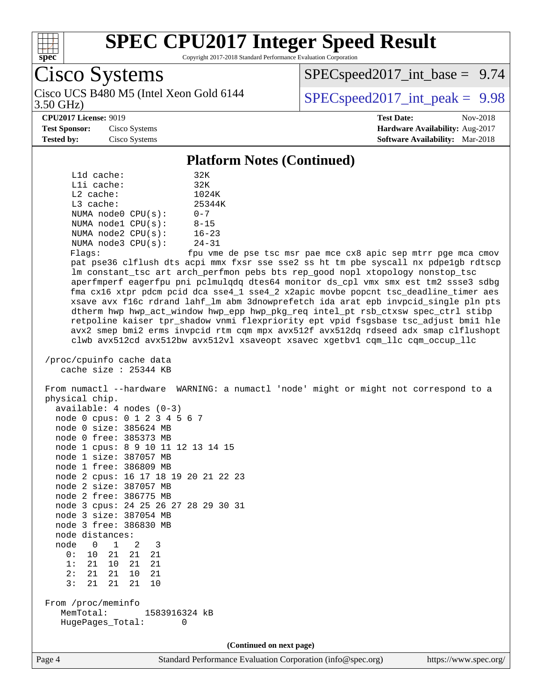

Copyright 2017-2018 Standard Performance Evaluation Corporation

## Cisco Systems

3.50 GHz) Cisco UCS B480 M5 (Intel Xeon Gold 6144  $\vert$  [SPECspeed2017\\_int\\_peak =](http://www.spec.org/auto/cpu2017/Docs/result-fields.html#SPECspeed2017intpeak) 9.98

 $SPECspeed2017\_int\_base = 9.74$ 

#### **[CPU2017 License:](http://www.spec.org/auto/cpu2017/Docs/result-fields.html#CPU2017License)** 9019 **[Test Date:](http://www.spec.org/auto/cpu2017/Docs/result-fields.html#TestDate)** Nov-2018

**[Test Sponsor:](http://www.spec.org/auto/cpu2017/Docs/result-fields.html#TestSponsor)** Cisco Systems **[Hardware Availability:](http://www.spec.org/auto/cpu2017/Docs/result-fields.html#HardwareAvailability)** Aug-2017 **[Tested by:](http://www.spec.org/auto/cpu2017/Docs/result-fields.html#Testedby)** Cisco Systems **[Software Availability:](http://www.spec.org/auto/cpu2017/Docs/result-fields.html#SoftwareAvailability)** Mar-2018

### **[Platform Notes \(Continued\)](http://www.spec.org/auto/cpu2017/Docs/result-fields.html#PlatformNotes)**

| L1d cache:              |  | 32K       |  |  |  |  |
|-------------------------|--|-----------|--|--|--|--|
| $L1i$ cache:            |  |           |  |  |  |  |
| $L2$ cache:             |  | 1024K     |  |  |  |  |
| $L3$ cache:             |  | 25344K    |  |  |  |  |
| NUMA node0 CPU(s):      |  | $0 - 7$   |  |  |  |  |
| NUMA nodel CPU(s):      |  | $8 - 15$  |  |  |  |  |
| NUMA $node2$ $CPU(s)$ : |  | $16 - 23$ |  |  |  |  |
| NUMA node3 CPU(s):      |  | $24 - 31$ |  |  |  |  |
|                         |  |           |  |  |  |  |

Flags: fpu vme de pse tsc msr pae mce cx8 apic sep mtrr pge mca cmov pat pse36 clflush dts acpi mmx fxsr sse sse2 ss ht tm pbe syscall nx pdpe1gb rdtscp lm constant\_tsc art arch\_perfmon pebs bts rep\_good nopl xtopology nonstop\_tsc aperfmperf eagerfpu pni pclmulqdq dtes64 monitor ds\_cpl vmx smx est tm2 ssse3 sdbg fma cx16 xtpr pdcm pcid dca sse4\_1 sse4\_2 x2apic movbe popcnt tsc\_deadline\_timer aes xsave avx f16c rdrand lahf\_lm abm 3dnowprefetch ida arat epb invpcid\_single pln pts dtherm hwp hwp\_act\_window hwp\_epp hwp\_pkg\_req intel\_pt rsb\_ctxsw spec\_ctrl stibp retpoline kaiser tpr\_shadow vnmi flexpriority ept vpid fsgsbase tsc\_adjust bmi1 hle avx2 smep bmi2 erms invpcid rtm cqm mpx avx512f avx512dq rdseed adx smap clflushopt clwb avx512cd avx512bw avx512vl xsaveopt xsavec xgetbv1 cqm\_llc cqm\_occup\_llc

```
 /proc/cpuinfo cache data
    cache size : 25344 KB
```
 From numactl --hardware WARNING: a numactl 'node' might or might not correspond to a physical chip.  $\frac{1}{2}$ lable: 4 nodes (0-3)

|                            |                 |  | avallable, 4 nodes (0-3)             |  |  |  |
|----------------------------|-----------------|--|--------------------------------------|--|--|--|
|                            |                 |  | node 0 cpus: 0 1 2 3 4 5 6 7         |  |  |  |
|                            |                 |  | node 0 size: 385624 MB               |  |  |  |
|                            |                 |  | node 0 free: 385373 MB               |  |  |  |
|                            |                 |  | node 1 cpus: 8 9 10 11 12 13 14 15   |  |  |  |
|                            |                 |  | node 1 size: 387057 MB               |  |  |  |
|                            |                 |  | node 1 free: 386809 MB               |  |  |  |
|                            |                 |  | node 2 cpus: 16 17 18 19 20 21 22 23 |  |  |  |
|                            |                 |  | node 2 size: 387057 MB               |  |  |  |
|                            |                 |  | node 2 free: 386775 MB               |  |  |  |
|                            |                 |  | node 3 cpus: 24 25 26 27 28 29 30 31 |  |  |  |
|                            |                 |  | node 3 size: 387054 MB               |  |  |  |
|                            |                 |  | node 3 free: 386830 MB               |  |  |  |
|                            | node distances: |  |                                      |  |  |  |
|                            |                 |  | node 0 1 2 3                         |  |  |  |
|                            |                 |  | 0: 10 21 21 21                       |  |  |  |
|                            |                 |  | 1: 21 10 21 21                       |  |  |  |
|                            |                 |  | 2: 21 21 10 21                       |  |  |  |
|                            |                 |  | 3: 21 21 21 10                       |  |  |  |
|                            |                 |  |                                      |  |  |  |
| From /proc/meminfo         |                 |  |                                      |  |  |  |
| MemTotal:<br>1583916324 kB |                 |  |                                      |  |  |  |
|                            |                 |  | HugePages_Total:<br>0                |  |  |  |
|                            |                 |  |                                      |  |  |  |

**(Continued on next page)**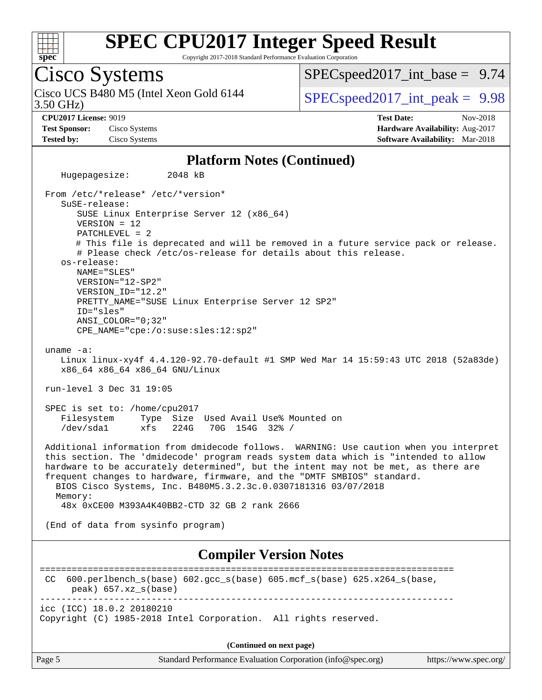

Copyright 2017-2018 Standard Performance Evaluation Corporation

## Cisco Systems

3.50 GHz) Cisco UCS B480 M5 (Intel Xeon Gold 6144  $\vert$  [SPECspeed2017\\_int\\_peak =](http://www.spec.org/auto/cpu2017/Docs/result-fields.html#SPECspeed2017intpeak) 9.98

 $SPECspeed2017\_int\_base = 9.74$ 

**[Test Sponsor:](http://www.spec.org/auto/cpu2017/Docs/result-fields.html#TestSponsor)** Cisco Systems **[Hardware Availability:](http://www.spec.org/auto/cpu2017/Docs/result-fields.html#HardwareAvailability)** Aug-2017

**[CPU2017 License:](http://www.spec.org/auto/cpu2017/Docs/result-fields.html#CPU2017License)** 9019 **[Test Date:](http://www.spec.org/auto/cpu2017/Docs/result-fields.html#TestDate)** Nov-2018 **[Tested by:](http://www.spec.org/auto/cpu2017/Docs/result-fields.html#Testedby)** Cisco Systems **[Software Availability:](http://www.spec.org/auto/cpu2017/Docs/result-fields.html#SoftwareAvailability)** Mar-2018

#### **[Platform Notes \(Continued\)](http://www.spec.org/auto/cpu2017/Docs/result-fields.html#PlatformNotes)**

 Hugepagesize: 2048 kB From /etc/\*release\* /etc/\*version\* SuSE-release: SUSE Linux Enterprise Server 12 (x86\_64) VERSION = 12 PATCHLEVEL = 2 # This file is deprecated and will be removed in a future service pack or release. # Please check /etc/os-release for details about this release. os-release: NAME="SLES" VERSION="12-SP2" VERSION\_ID="12.2" PRETTY\_NAME="SUSE Linux Enterprise Server 12 SP2" ID="sles" ANSI\_COLOR="0;32" CPE\_NAME="cpe:/o:suse:sles:12:sp2" uname -a: Linux linux-xy4f 4.4.120-92.70-default #1 SMP Wed Mar 14 15:59:43 UTC 2018 (52a83de) x86\_64 x86\_64 x86\_64 GNU/Linux run-level 3 Dec 31 19:05 SPEC is set to: /home/cpu2017 Filesystem Type Size Used Avail Use% Mounted on /dev/sda1 xfs 224G 70G 154G 32% / Additional information from dmidecode follows. WARNING: Use caution when you interpret this section. The 'dmidecode' program reads system data which is "intended to allow hardware to be accurately determined", but the intent may not be met, as there are frequent changes to hardware, firmware, and the "DMTF SMBIOS" standard. BIOS Cisco Systems, Inc. B480M5.3.2.3c.0.0307181316 03/07/2018 Memory: 48x 0xCE00 M393A4K40BB2-CTD 32 GB 2 rank 2666 (End of data from sysinfo program) **[Compiler Version Notes](http://www.spec.org/auto/cpu2017/Docs/result-fields.html#CompilerVersionNotes)** ============================================================================== CC 600.perlbench\_s(base) 602.gcc\_s(base) 605.mcf\_s(base) 625.x264\_s(base, peak) 657.xz\_s(base) ----------------------------------------------------------------------------- icc (ICC) 18.0.2 20180210 Copyright (C) 1985-2018 Intel Corporation. All rights reserved. **(Continued on next page)**

Page 5 Standard Performance Evaluation Corporation [\(info@spec.org\)](mailto:info@spec.org) <https://www.spec.org/>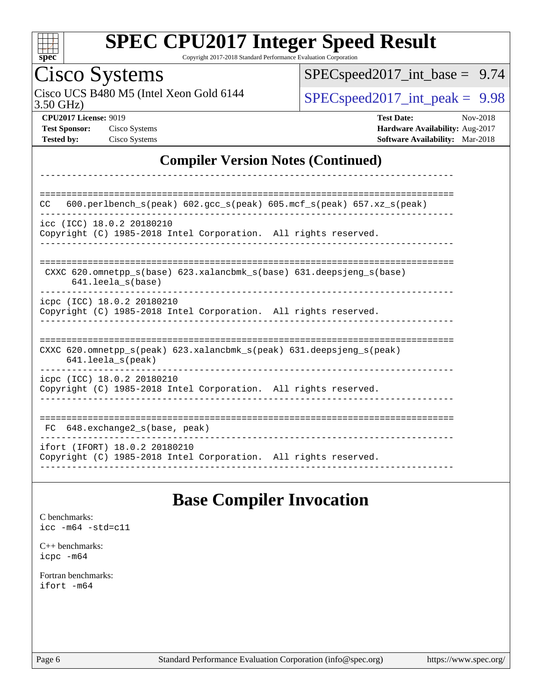

Copyright 2017-2018 Standard Performance Evaluation Corporation

## Cisco Systems

3.50 GHz) Cisco UCS B480 M5 (Intel Xeon Gold 6144  $\boxed{\text{SPEC speed2017\_int\_peak = 9.98}}$ 

[SPECspeed2017\\_int\\_base =](http://www.spec.org/auto/cpu2017/Docs/result-fields.html#SPECspeed2017intbase) 9.74

**[CPU2017 License:](http://www.spec.org/auto/cpu2017/Docs/result-fields.html#CPU2017License)** 9019 **[Test Date:](http://www.spec.org/auto/cpu2017/Docs/result-fields.html#TestDate)** Nov-2018 **[Test Sponsor:](http://www.spec.org/auto/cpu2017/Docs/result-fields.html#TestSponsor)** Cisco Systems **[Hardware Availability:](http://www.spec.org/auto/cpu2017/Docs/result-fields.html#HardwareAvailability)** Aug-2017 **[Tested by:](http://www.spec.org/auto/cpu2017/Docs/result-fields.html#Testedby)** Cisco Systems **[Software Availability:](http://www.spec.org/auto/cpu2017/Docs/result-fields.html#SoftwareAvailability)** Mar-2018

### **[Compiler Version Notes \(Continued\)](http://www.spec.org/auto/cpu2017/Docs/result-fields.html#CompilerVersionNotes)**

| 600.perlbench $s$ (peak) 602.gcc $s$ (peak) 605.mcf $s$ (peak) 657.xz $s$ (peak)<br><b>CC</b>                              |
|----------------------------------------------------------------------------------------------------------------------------|
| icc (ICC) 18.0.2 20180210<br>Copyright (C) 1985-2018 Intel Corporation. All rights reserved.                               |
| CXXC 620.omnetpp $s(base)$ 623.xalancbmk $s(base)$ 631.deepsjeng $s(base)$<br>$641.$ leela $s$ (base)                      |
| icpc (ICC) 18.0.2 20180210<br>Copyright (C) 1985-2018 Intel Corporation. All rights reserved.                              |
| CXXC 620.omnetpp $s(\text{peak})$ 623.xalancbmk $s(\text{peak})$ 631.deepsjeng $s(\text{peak})$<br>$641.$ leela $s$ (peak) |
| icpc (ICC) 18.0.2 20180210<br>Copyright (C) 1985-2018 Intel Corporation. All rights reserved.                              |
| 648.exchange2 s(base, peak)<br>FC.                                                                                         |
| ifort (IFORT) 18.0.2 20180210<br>Copyright (C) 1985-2018 Intel Corporation. All rights reserved.                           |

### **[Base Compiler Invocation](http://www.spec.org/auto/cpu2017/Docs/result-fields.html#BaseCompilerInvocation)**

[C benchmarks](http://www.spec.org/auto/cpu2017/Docs/result-fields.html#Cbenchmarks): [icc -m64 -std=c11](http://www.spec.org/cpu2017/results/res2018q4/cpu2017-20181211-10294.flags.html#user_CCbase_intel_icc_64bit_c11_33ee0cdaae7deeeab2a9725423ba97205ce30f63b9926c2519791662299b76a0318f32ddfffdc46587804de3178b4f9328c46fa7c2b0cd779d7a61945c91cd35)

[C++ benchmarks:](http://www.spec.org/auto/cpu2017/Docs/result-fields.html#CXXbenchmarks) [icpc -m64](http://www.spec.org/cpu2017/results/res2018q4/cpu2017-20181211-10294.flags.html#user_CXXbase_intel_icpc_64bit_4ecb2543ae3f1412ef961e0650ca070fec7b7afdcd6ed48761b84423119d1bf6bdf5cad15b44d48e7256388bc77273b966e5eb805aefd121eb22e9299b2ec9d9)

[Fortran benchmarks](http://www.spec.org/auto/cpu2017/Docs/result-fields.html#Fortranbenchmarks): [ifort -m64](http://www.spec.org/cpu2017/results/res2018q4/cpu2017-20181211-10294.flags.html#user_FCbase_intel_ifort_64bit_24f2bb282fbaeffd6157abe4f878425411749daecae9a33200eee2bee2fe76f3b89351d69a8130dd5949958ce389cf37ff59a95e7a40d588e8d3a57e0c3fd751)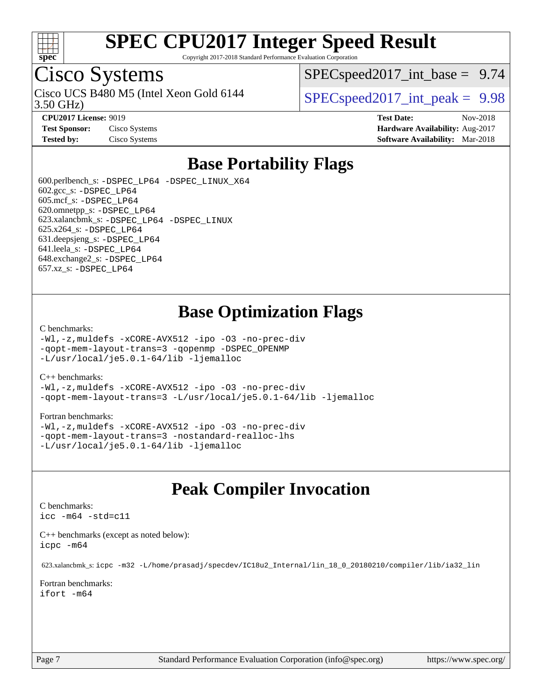

Copyright 2017-2018 Standard Performance Evaluation Corporation

## Cisco Systems

3.50 GHz) Cisco UCS B480 M5 (Intel Xeon Gold 6144  $\vert$  [SPECspeed2017\\_int\\_peak =](http://www.spec.org/auto/cpu2017/Docs/result-fields.html#SPECspeed2017intpeak) 9.98

 $SPECspeed2017\_int\_base = 9.74$ 

**[CPU2017 License:](http://www.spec.org/auto/cpu2017/Docs/result-fields.html#CPU2017License)** 9019 **[Test Date:](http://www.spec.org/auto/cpu2017/Docs/result-fields.html#TestDate)** Nov-2018 **[Test Sponsor:](http://www.spec.org/auto/cpu2017/Docs/result-fields.html#TestSponsor)** Cisco Systems **[Hardware Availability:](http://www.spec.org/auto/cpu2017/Docs/result-fields.html#HardwareAvailability)** Aug-2017 **[Tested by:](http://www.spec.org/auto/cpu2017/Docs/result-fields.html#Testedby)** Cisco Systems **[Software Availability:](http://www.spec.org/auto/cpu2017/Docs/result-fields.html#SoftwareAvailability)** Mar-2018

## **[Base Portability Flags](http://www.spec.org/auto/cpu2017/Docs/result-fields.html#BasePortabilityFlags)**

 600.perlbench\_s: [-DSPEC\\_LP64](http://www.spec.org/cpu2017/results/res2018q4/cpu2017-20181211-10294.flags.html#b600.perlbench_s_basePORTABILITY_DSPEC_LP64) [-DSPEC\\_LINUX\\_X64](http://www.spec.org/cpu2017/results/res2018q4/cpu2017-20181211-10294.flags.html#b600.perlbench_s_baseCPORTABILITY_DSPEC_LINUX_X64) 602.gcc\_s: [-DSPEC\\_LP64](http://www.spec.org/cpu2017/results/res2018q4/cpu2017-20181211-10294.flags.html#suite_basePORTABILITY602_gcc_s_DSPEC_LP64) 605.mcf\_s: [-DSPEC\\_LP64](http://www.spec.org/cpu2017/results/res2018q4/cpu2017-20181211-10294.flags.html#suite_basePORTABILITY605_mcf_s_DSPEC_LP64) 620.omnetpp\_s: [-DSPEC\\_LP64](http://www.spec.org/cpu2017/results/res2018q4/cpu2017-20181211-10294.flags.html#suite_basePORTABILITY620_omnetpp_s_DSPEC_LP64) 623.xalancbmk\_s: [-DSPEC\\_LP64](http://www.spec.org/cpu2017/results/res2018q4/cpu2017-20181211-10294.flags.html#suite_basePORTABILITY623_xalancbmk_s_DSPEC_LP64) [-DSPEC\\_LINUX](http://www.spec.org/cpu2017/results/res2018q4/cpu2017-20181211-10294.flags.html#b623.xalancbmk_s_baseCXXPORTABILITY_DSPEC_LINUX) 625.x264\_s: [-DSPEC\\_LP64](http://www.spec.org/cpu2017/results/res2018q4/cpu2017-20181211-10294.flags.html#suite_basePORTABILITY625_x264_s_DSPEC_LP64) 631.deepsjeng\_s: [-DSPEC\\_LP64](http://www.spec.org/cpu2017/results/res2018q4/cpu2017-20181211-10294.flags.html#suite_basePORTABILITY631_deepsjeng_s_DSPEC_LP64) 641.leela\_s: [-DSPEC\\_LP64](http://www.spec.org/cpu2017/results/res2018q4/cpu2017-20181211-10294.flags.html#suite_basePORTABILITY641_leela_s_DSPEC_LP64) 648.exchange2\_s: [-DSPEC\\_LP64](http://www.spec.org/cpu2017/results/res2018q4/cpu2017-20181211-10294.flags.html#suite_basePORTABILITY648_exchange2_s_DSPEC_LP64) 657.xz\_s: [-DSPEC\\_LP64](http://www.spec.org/cpu2017/results/res2018q4/cpu2017-20181211-10294.flags.html#suite_basePORTABILITY657_xz_s_DSPEC_LP64)

## **[Base Optimization Flags](http://www.spec.org/auto/cpu2017/Docs/result-fields.html#BaseOptimizationFlags)**

#### [C benchmarks](http://www.spec.org/auto/cpu2017/Docs/result-fields.html#Cbenchmarks):

[-Wl,-z,muldefs](http://www.spec.org/cpu2017/results/res2018q4/cpu2017-20181211-10294.flags.html#user_CCbase_link_force_multiple1_b4cbdb97b34bdee9ceefcfe54f4c8ea74255f0b02a4b23e853cdb0e18eb4525ac79b5a88067c842dd0ee6996c24547a27a4b99331201badda8798ef8a743f577) [-xCORE-AVX512](http://www.spec.org/cpu2017/results/res2018q4/cpu2017-20181211-10294.flags.html#user_CCbase_f-xCORE-AVX512) [-ipo](http://www.spec.org/cpu2017/results/res2018q4/cpu2017-20181211-10294.flags.html#user_CCbase_f-ipo) [-O3](http://www.spec.org/cpu2017/results/res2018q4/cpu2017-20181211-10294.flags.html#user_CCbase_f-O3) [-no-prec-div](http://www.spec.org/cpu2017/results/res2018q4/cpu2017-20181211-10294.flags.html#user_CCbase_f-no-prec-div) [-qopt-mem-layout-trans=3](http://www.spec.org/cpu2017/results/res2018q4/cpu2017-20181211-10294.flags.html#user_CCbase_f-qopt-mem-layout-trans_de80db37974c74b1f0e20d883f0b675c88c3b01e9d123adea9b28688d64333345fb62bc4a798493513fdb68f60282f9a726aa07f478b2f7113531aecce732043) [-qopenmp](http://www.spec.org/cpu2017/results/res2018q4/cpu2017-20181211-10294.flags.html#user_CCbase_qopenmp_16be0c44f24f464004c6784a7acb94aca937f053568ce72f94b139a11c7c168634a55f6653758ddd83bcf7b8463e8028bb0b48b77bcddc6b78d5d95bb1df2967) [-DSPEC\\_OPENMP](http://www.spec.org/cpu2017/results/res2018q4/cpu2017-20181211-10294.flags.html#suite_CCbase_DSPEC_OPENMP) [-L/usr/local/je5.0.1-64/lib](http://www.spec.org/cpu2017/results/res2018q4/cpu2017-20181211-10294.flags.html#user_CCbase_jemalloc_link_path64_4b10a636b7bce113509b17f3bd0d6226c5fb2346b9178c2d0232c14f04ab830f976640479e5c33dc2bcbbdad86ecfb6634cbbd4418746f06f368b512fced5394) [-ljemalloc](http://www.spec.org/cpu2017/results/res2018q4/cpu2017-20181211-10294.flags.html#user_CCbase_jemalloc_link_lib_d1249b907c500fa1c0672f44f562e3d0f79738ae9e3c4a9c376d49f265a04b9c99b167ecedbf6711b3085be911c67ff61f150a17b3472be731631ba4d0471706)

#### [C++ benchmarks:](http://www.spec.org/auto/cpu2017/Docs/result-fields.html#CXXbenchmarks)

[-Wl,-z,muldefs](http://www.spec.org/cpu2017/results/res2018q4/cpu2017-20181211-10294.flags.html#user_CXXbase_link_force_multiple1_b4cbdb97b34bdee9ceefcfe54f4c8ea74255f0b02a4b23e853cdb0e18eb4525ac79b5a88067c842dd0ee6996c24547a27a4b99331201badda8798ef8a743f577) [-xCORE-AVX512](http://www.spec.org/cpu2017/results/res2018q4/cpu2017-20181211-10294.flags.html#user_CXXbase_f-xCORE-AVX512) [-ipo](http://www.spec.org/cpu2017/results/res2018q4/cpu2017-20181211-10294.flags.html#user_CXXbase_f-ipo) [-O3](http://www.spec.org/cpu2017/results/res2018q4/cpu2017-20181211-10294.flags.html#user_CXXbase_f-O3) [-no-prec-div](http://www.spec.org/cpu2017/results/res2018q4/cpu2017-20181211-10294.flags.html#user_CXXbase_f-no-prec-div) [-qopt-mem-layout-trans=3](http://www.spec.org/cpu2017/results/res2018q4/cpu2017-20181211-10294.flags.html#user_CXXbase_f-qopt-mem-layout-trans_de80db37974c74b1f0e20d883f0b675c88c3b01e9d123adea9b28688d64333345fb62bc4a798493513fdb68f60282f9a726aa07f478b2f7113531aecce732043) [-L/usr/local/je5.0.1-64/lib](http://www.spec.org/cpu2017/results/res2018q4/cpu2017-20181211-10294.flags.html#user_CXXbase_jemalloc_link_path64_4b10a636b7bce113509b17f3bd0d6226c5fb2346b9178c2d0232c14f04ab830f976640479e5c33dc2bcbbdad86ecfb6634cbbd4418746f06f368b512fced5394) [-ljemalloc](http://www.spec.org/cpu2017/results/res2018q4/cpu2017-20181211-10294.flags.html#user_CXXbase_jemalloc_link_lib_d1249b907c500fa1c0672f44f562e3d0f79738ae9e3c4a9c376d49f265a04b9c99b167ecedbf6711b3085be911c67ff61f150a17b3472be731631ba4d0471706)

#### [Fortran benchmarks](http://www.spec.org/auto/cpu2017/Docs/result-fields.html#Fortranbenchmarks):

[-Wl,-z,muldefs](http://www.spec.org/cpu2017/results/res2018q4/cpu2017-20181211-10294.flags.html#user_FCbase_link_force_multiple1_b4cbdb97b34bdee9ceefcfe54f4c8ea74255f0b02a4b23e853cdb0e18eb4525ac79b5a88067c842dd0ee6996c24547a27a4b99331201badda8798ef8a743f577) [-xCORE-AVX512](http://www.spec.org/cpu2017/results/res2018q4/cpu2017-20181211-10294.flags.html#user_FCbase_f-xCORE-AVX512) [-ipo](http://www.spec.org/cpu2017/results/res2018q4/cpu2017-20181211-10294.flags.html#user_FCbase_f-ipo) [-O3](http://www.spec.org/cpu2017/results/res2018q4/cpu2017-20181211-10294.flags.html#user_FCbase_f-O3) [-no-prec-div](http://www.spec.org/cpu2017/results/res2018q4/cpu2017-20181211-10294.flags.html#user_FCbase_f-no-prec-div) [-qopt-mem-layout-trans=3](http://www.spec.org/cpu2017/results/res2018q4/cpu2017-20181211-10294.flags.html#user_FCbase_f-qopt-mem-layout-trans_de80db37974c74b1f0e20d883f0b675c88c3b01e9d123adea9b28688d64333345fb62bc4a798493513fdb68f60282f9a726aa07f478b2f7113531aecce732043) [-nostandard-realloc-lhs](http://www.spec.org/cpu2017/results/res2018q4/cpu2017-20181211-10294.flags.html#user_FCbase_f_2003_std_realloc_82b4557e90729c0f113870c07e44d33d6f5a304b4f63d4c15d2d0f1fab99f5daaed73bdb9275d9ae411527f28b936061aa8b9c8f2d63842963b95c9dd6426b8a) [-L/usr/local/je5.0.1-64/lib](http://www.spec.org/cpu2017/results/res2018q4/cpu2017-20181211-10294.flags.html#user_FCbase_jemalloc_link_path64_4b10a636b7bce113509b17f3bd0d6226c5fb2346b9178c2d0232c14f04ab830f976640479e5c33dc2bcbbdad86ecfb6634cbbd4418746f06f368b512fced5394) [-ljemalloc](http://www.spec.org/cpu2017/results/res2018q4/cpu2017-20181211-10294.flags.html#user_FCbase_jemalloc_link_lib_d1249b907c500fa1c0672f44f562e3d0f79738ae9e3c4a9c376d49f265a04b9c99b167ecedbf6711b3085be911c67ff61f150a17b3472be731631ba4d0471706)

## **[Peak Compiler Invocation](http://www.spec.org/auto/cpu2017/Docs/result-fields.html#PeakCompilerInvocation)**

#### [C benchmarks](http://www.spec.org/auto/cpu2017/Docs/result-fields.html#Cbenchmarks):

[icc -m64 -std=c11](http://www.spec.org/cpu2017/results/res2018q4/cpu2017-20181211-10294.flags.html#user_CCpeak_intel_icc_64bit_c11_33ee0cdaae7deeeab2a9725423ba97205ce30f63b9926c2519791662299b76a0318f32ddfffdc46587804de3178b4f9328c46fa7c2b0cd779d7a61945c91cd35)

[C++ benchmarks \(except as noted below\):](http://www.spec.org/auto/cpu2017/Docs/result-fields.html#CXXbenchmarksexceptasnotedbelow) [icpc -m64](http://www.spec.org/cpu2017/results/res2018q4/cpu2017-20181211-10294.flags.html#user_CXXpeak_intel_icpc_64bit_4ecb2543ae3f1412ef961e0650ca070fec7b7afdcd6ed48761b84423119d1bf6bdf5cad15b44d48e7256388bc77273b966e5eb805aefd121eb22e9299b2ec9d9)

623.xalancbmk\_s: [icpc -m32 -L/home/prasadj/specdev/IC18u2\\_Internal/lin\\_18\\_0\\_20180210/compiler/lib/ia32\\_lin](http://www.spec.org/cpu2017/results/res2018q4/cpu2017-20181211-10294.flags.html#user_peakCXXLD623_xalancbmk_s_intel_icpc_c6d030cd79af6ea7d6fb64c57e8fe7ae8fe0b96fc5a3b3f4a10e3273b3d7fa9decd8263f6330cef23f751cb093a69fae84a2bf4c243500a8eed069248128076f)

[Fortran benchmarks](http://www.spec.org/auto/cpu2017/Docs/result-fields.html#Fortranbenchmarks): [ifort -m64](http://www.spec.org/cpu2017/results/res2018q4/cpu2017-20181211-10294.flags.html#user_FCpeak_intel_ifort_64bit_24f2bb282fbaeffd6157abe4f878425411749daecae9a33200eee2bee2fe76f3b89351d69a8130dd5949958ce389cf37ff59a95e7a40d588e8d3a57e0c3fd751)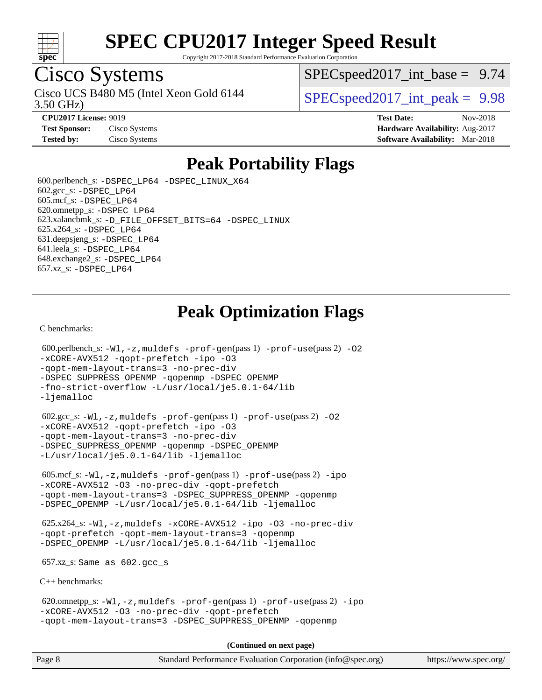

Copyright 2017-2018 Standard Performance Evaluation Corporation

## Cisco Systems

3.50 GHz) Cisco UCS B480 M5 (Intel Xeon Gold 6144  $\vert$  [SPECspeed2017\\_int\\_peak =](http://www.spec.org/auto/cpu2017/Docs/result-fields.html#SPECspeed2017intpeak) 9.98

 $SPECspeed2017\_int\_base = 9.74$ 

**[CPU2017 License:](http://www.spec.org/auto/cpu2017/Docs/result-fields.html#CPU2017License)** 9019 **[Test Date:](http://www.spec.org/auto/cpu2017/Docs/result-fields.html#TestDate)** Nov-2018 **[Test Sponsor:](http://www.spec.org/auto/cpu2017/Docs/result-fields.html#TestSponsor)** Cisco Systems **Cisco Systems [Hardware Availability:](http://www.spec.org/auto/cpu2017/Docs/result-fields.html#HardwareAvailability)** Aug-2017 **[Tested by:](http://www.spec.org/auto/cpu2017/Docs/result-fields.html#Testedby)** Cisco Systems **[Software Availability:](http://www.spec.org/auto/cpu2017/Docs/result-fields.html#SoftwareAvailability)** Mar-2018

## **[Peak Portability Flags](http://www.spec.org/auto/cpu2017/Docs/result-fields.html#PeakPortabilityFlags)**

 600.perlbench\_s: [-DSPEC\\_LP64](http://www.spec.org/cpu2017/results/res2018q4/cpu2017-20181211-10294.flags.html#b600.perlbench_s_peakPORTABILITY_DSPEC_LP64) [-DSPEC\\_LINUX\\_X64](http://www.spec.org/cpu2017/results/res2018q4/cpu2017-20181211-10294.flags.html#b600.perlbench_s_peakCPORTABILITY_DSPEC_LINUX_X64)  $602.\text{gcc}\$ s:  $-DSPEC$  LP64 605.mcf\_s: [-DSPEC\\_LP64](http://www.spec.org/cpu2017/results/res2018q4/cpu2017-20181211-10294.flags.html#suite_peakPORTABILITY605_mcf_s_DSPEC_LP64) 620.omnetpp\_s: [-DSPEC\\_LP64](http://www.spec.org/cpu2017/results/res2018q4/cpu2017-20181211-10294.flags.html#suite_peakPORTABILITY620_omnetpp_s_DSPEC_LP64) 623.xalancbmk\_s: [-D\\_FILE\\_OFFSET\\_BITS=64](http://www.spec.org/cpu2017/results/res2018q4/cpu2017-20181211-10294.flags.html#user_peakPORTABILITY623_xalancbmk_s_file_offset_bits_64_5ae949a99b284ddf4e95728d47cb0843d81b2eb0e18bdfe74bbf0f61d0b064f4bda2f10ea5eb90e1dcab0e84dbc592acfc5018bc955c18609f94ddb8d550002c) [-DSPEC\\_LINUX](http://www.spec.org/cpu2017/results/res2018q4/cpu2017-20181211-10294.flags.html#b623.xalancbmk_s_peakCXXPORTABILITY_DSPEC_LINUX) 625.x264\_s: [-DSPEC\\_LP64](http://www.spec.org/cpu2017/results/res2018q4/cpu2017-20181211-10294.flags.html#suite_peakPORTABILITY625_x264_s_DSPEC_LP64) 631.deepsjeng\_s: [-DSPEC\\_LP64](http://www.spec.org/cpu2017/results/res2018q4/cpu2017-20181211-10294.flags.html#suite_peakPORTABILITY631_deepsjeng_s_DSPEC_LP64) 641.leela\_s: [-DSPEC\\_LP64](http://www.spec.org/cpu2017/results/res2018q4/cpu2017-20181211-10294.flags.html#suite_peakPORTABILITY641_leela_s_DSPEC_LP64) 648.exchange2\_s: [-DSPEC\\_LP64](http://www.spec.org/cpu2017/results/res2018q4/cpu2017-20181211-10294.flags.html#suite_peakPORTABILITY648_exchange2_s_DSPEC_LP64) 657.xz\_s: [-DSPEC\\_LP64](http://www.spec.org/cpu2017/results/res2018q4/cpu2017-20181211-10294.flags.html#suite_peakPORTABILITY657_xz_s_DSPEC_LP64)

## **[Peak Optimization Flags](http://www.spec.org/auto/cpu2017/Docs/result-fields.html#PeakOptimizationFlags)**

[C benchmarks](http://www.spec.org/auto/cpu2017/Docs/result-fields.html#Cbenchmarks):

```
600.perlbench_s: -W1-prof-gen-prof-use(pass 2) -02
-xCORE-AVX512 -qopt-prefetch -ipo -O3
-qopt-mem-layout-trans=3 -no-prec-div
-DSPEC_SUPPRESS_OPENMP -qopenmp -DSPEC_OPENMP
-fno-strict-overflow -L/usr/local/je5.0.1-64/lib
-ljemalloc
 602.gcc_s: -Wl,-z,muldefs -prof-gen(pass 1) -prof-use(pass 2) -O2
-xCORE-AVX512 -qopt-prefetch -ipo -O3
-qopt-mem-layout-trans=3 -no-prec-div
-DSPEC_SUPPRESS_OPENMP -qopenmp -DSPEC_OPENMP
-L/usr/local/je5.0.1-64/lib -ljemalloc
 605.mcf_s: -Wl,-z,muldefs -prof-gen(pass 1) -prof-use(pass 2) -ipo
-xCORE-AVX512 -O3 -no-prec-div -qopt-prefetch
-qopt-mem-layout-trans=3 -DSPEC_SUPPRESS_OPENMP -qopenmp
-DSPEC_OPENMP -L/usr/local/je5.0.1-64/lib -ljemalloc
 625.x264_s: -Wl,-z,muldefs -xCORE-AVX512 -ipo -O3 -no-prec-div
-qopt-prefetch -qopt-mem-layout-trans=3 -qopenmp
-DSPEC_OPENMP -L/usr/local/je5.0.1-64/lib -ljemalloc
 657.xz_s: Same as 602.gcc_s
C++ benchmarks: 
 620.omnetpp_s: -Wl,-z,muldefs -prof-gen(pass 1) -prof-use(pass 2) -ipo
-xCORE-AVX512 -O3 -no-prec-div -qopt-prefetch
-qopt-mem-layout-trans=3 -DSPEC_SUPPRESS_OPENMP -qopenmp
                                     (Continued on next page)
```